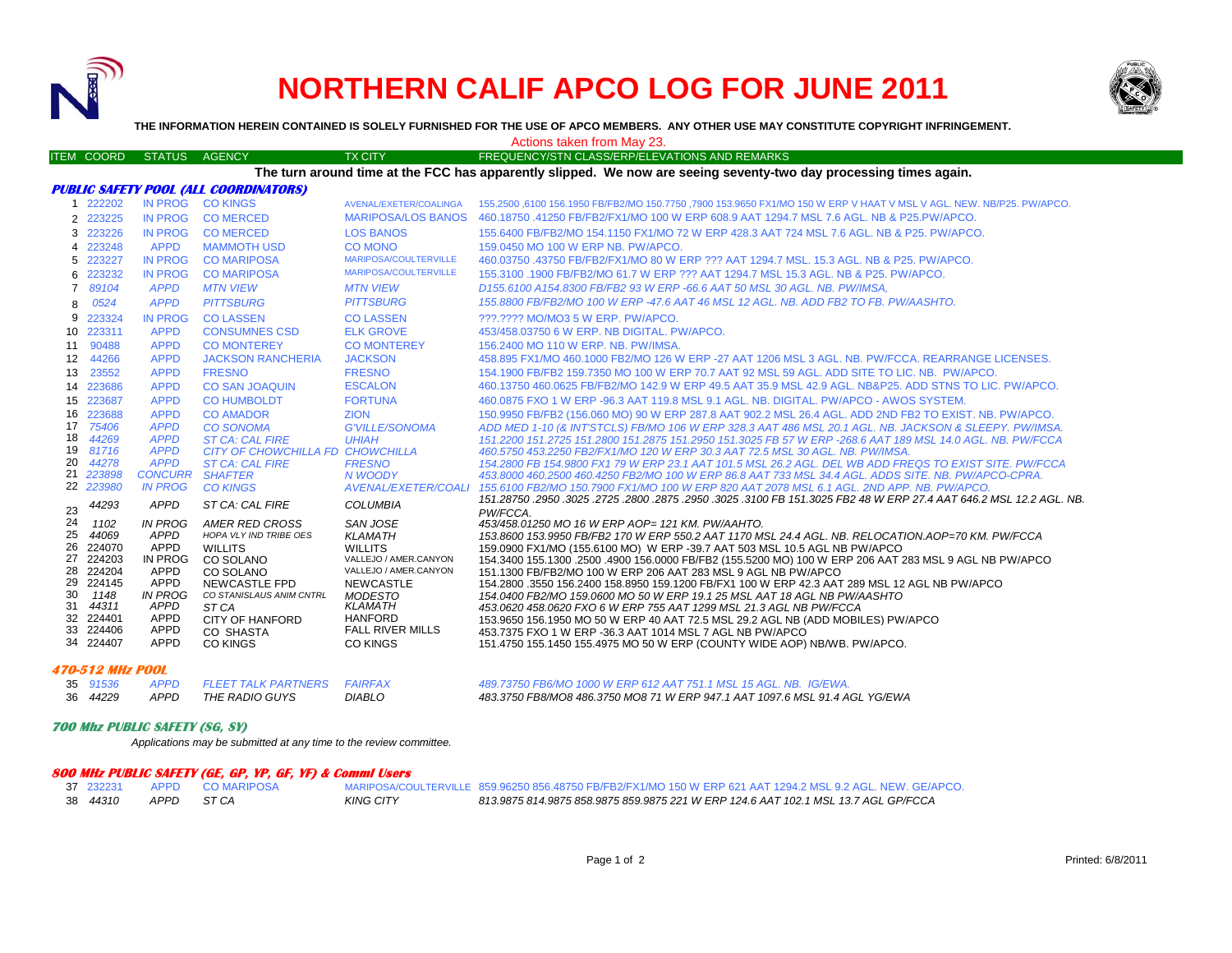

# **NORTHERN CALIF APCO LOG FOR JUNE 2011**



**THE INFORMATION HEREIN CONTAINED IS SOLELY FURNISHED FOR THE USE OF APCO MEMBERS. ANY OTHER USE MAY CONSTITUTE COPYRIGHT INFRINGEMENT.**

Actions taken from May 23.

#### ITEM COORD STATUS AGENCY TX CITY TX CITY FREQUENCY/STN CLASS/ERP/ELEVATIONS AND REMARKS

**The turn around time at the FCC has apparently slipped. We now are seeing seventy-two day processing times again.**

|                |                           |                               | PUBLIC SAFETY POOL (ALL COORDINATORS)            |                                    |                                                                                                                                                                                                               |
|----------------|---------------------------|-------------------------------|--------------------------------------------------|------------------------------------|---------------------------------------------------------------------------------------------------------------------------------------------------------------------------------------------------------------|
|                | 1 222202                  |                               | IN PROG CO KINGS                                 | AVENAL/EXETER/COALINGA             | 155,2500,6100 156,1950 FB/FB2/MO 150,7750 .7900 153,9650 FX1/MO 150 W ERP V HAAT V MSL V AGL. NEW, NB/P25, PW/APCO,                                                                                           |
|                | 2 223225                  | <b>IN PROG</b>                | <b>CO MERCED</b>                                 | <b>MARIPOSA/LOS BANOS</b>          | 460.18750.41250 FB/FB2/FX1/MO 100 W ERP 608.9 AAT 1294.7 MSL 7.6 AGL. NB & P25.PW/APCO.                                                                                                                       |
|                | 3 223226                  | IN PROG                       | <b>COMERCED</b>                                  | <b>LOS BANOS</b>                   | 155,6400 FB/FB2/MO 154,1150 FX1/MO 72 W ERP 428.3 AAT 724 MSL 7.6 AGL, NB & P25, PW/APCO,                                                                                                                     |
|                | 4 223248                  | <b>APPD</b>                   | <b>MAMMOTH USD</b>                               | CO MONO                            | 159,0450 MO 100 W ERP NB, PW/APCO,                                                                                                                                                                            |
|                | 5 223227                  | <b>IN PROG</b>                | <b>CO MARIPOSA</b>                               | MARIPOSA/COULTERVILLE              | 460.03750 .43750 FB/FB2/FX1/MO 80 W ERP ??? AAT 1294.7 MSL, 15.3 AGL, NB & P25, PW/APCO,                                                                                                                      |
|                | 6 223232                  | <b>IN PROG</b>                | <b>CO MARIPOSA</b>                               | MARIPOSA/COULTERVILLE              | 155.3100 .1900 FB/FB2/MO 61.7 W ERP ??? AAT 1294.7 MSL 15.3 AGL, NB & P25, PW/APCO.                                                                                                                           |
| $\overline{7}$ | 89104                     | <b>APPD</b>                   | <b>MTN VIEW</b>                                  | <b>MTN VIEW</b>                    | D155.6100 A154.8300 FB/FB2 93 W ERP -66.6 AAT 50 MSL 30 AGL, NB, PW/IMSA,                                                                                                                                     |
| 8              | 0524                      | <b>APPD</b>                   | <b>PITTSBURG</b>                                 | <b>PITTSBURG</b>                   | 155.8800 FB/FB2/MO 100 W ERP -47.6 AAT 46 MSL 12 AGL, NB, ADD FB2 TO FB, PW/AASHTO,                                                                                                                           |
| 9              | 223324                    | <b>IN PROG</b>                | <b>COLASSEN</b>                                  | <b>COLASSEN</b>                    | ???.???? MO/MO3 5 W ERP. PW/APCO.                                                                                                                                                                             |
|                | 10 223311                 | <b>APPD</b>                   | <b>CONSUMNES CSD</b>                             | <b>ELK GROVE</b>                   | 453/458.03750 6 W ERP. NB DIGITAL, PW/APCO.                                                                                                                                                                   |
|                | 11 90488                  | <b>APPD</b>                   | <b>CO MONTEREY</b>                               | <b>CO MONTEREY</b>                 | 156.2400 MO 110 W ERP. NB. PW/IMSA.                                                                                                                                                                           |
|                | 12 44266                  | <b>APPD</b>                   | <b>JACKSON RANCHERIA</b>                         | <b>JACKSON</b>                     | 458.895 FX1/MO 460.1000 FB2/MO 126 W ERP -27 AAT 1206 MSL 3 AGL. NB, PW/FCCA, REARRANGE LICENSES.                                                                                                             |
|                | 13 23552                  | <b>APPD</b>                   | <b>FRESNO</b>                                    | <b>FRESNO</b>                      | 154.1900 FB/FB2 159.7350 MO 100 W ERP 70.7 AAT 92 MSL 59 AGL, ADD SITE TO LIC, NB. PW/APCO.                                                                                                                   |
|                | 14 223686                 | <b>APPD</b>                   | <b>CO SAN JOAQUIN</b>                            | <b>ESCALON</b>                     | 460.13750 460.0625 FB/FB2/MO 142.9 W ERP 49.5 AAT 35.9 MSL 42.9 AGL, NB&P25, ADD STNS TO LIC, PW/APCO,                                                                                                        |
|                | 15 223687                 | <b>APPD</b>                   | <b>CO HUMBOLDT</b>                               | <b>FORTUNA</b>                     | 460.0875 FXO 1 W ERP -96.3 AAT 119.8 MSL 9.1 AGL, NB, DIGITAL, PW/APCO - AWOS SYSTEM.                                                                                                                         |
|                | 16 223688                 | <b>APPD</b>                   | <b>CO AMADOR</b>                                 | <b>ZION</b>                        | 150.9950 FB/FB2 (156.060 MO) 90 W ERP 287.8 AAT 902.2 MSL 26.4 AGL. ADD 2ND FB2 TO EXIST. NB. PW/APCO.                                                                                                        |
|                | 17 75406                  | <b>APPD</b>                   | <b>CO SONOMA</b>                                 | <b>G'VILLE/SONOMA</b>              | ADD MED 1-10 (& INT'STCLS) FB/MO 106 W ERP 328.3 AAT 486 MSL 20.1 AGL, NB, JACKSON & SLEEPY, PW/IMSA.                                                                                                         |
| 18             | 44269                     | <b>APPD</b>                   | <b>ST CA: CAL FIRE</b>                           | <b>UHIAH</b>                       | 151.2200 151.2725 151.2800 151.2875 151.2950 151.3025 FB 57 W ERP -268.6 AAT 189 MSL 14.0 AGL, NB, PW/FCCA                                                                                                    |
| 19<br>20       | 81716                     | <b>APPD</b>                   | CITY OF CHOWCHILLA FD CHOWCHILLA                 |                                    | 460.5750 453.2250 FB2/FX1/MO 120 W ERP 30.3 AAT 72.5 MSL 30 AGL, NB, PW/IMSA.                                                                                                                                 |
|                | 44278<br>21 223898        | <b>APPD</b><br><b>CONCURR</b> | <b>ST CA: CAL FIRE</b><br><b>SHAFTER</b>         | <b>FRESNO</b><br>N WOODY           | 154.2800 FB 154.9800 FX1 79 W ERP 23.1 AAT 101.5 MSL 26.2 AGL. DEL WB ADD FREQS TO EXIST SITE. PW/FCCA<br>453.8000 460.2500 460.4250 FB2/MO 100 W ERP 86.8 AAT 733 MSL 34.4 AGL, ADDS SITE, NB, PW/APCO-CPRA. |
|                | 22 223980                 | <b>IN PROG</b>                | <b>CO KINGS</b>                                  | <b>AVENAL/EXETER/COALI</b>         | 155.6100 FB2/MO 150.7900 FX1/MO 100 W ERP 820 AAT 2078 MSL 6.1 AGL, 2ND APP, NB, PW/APCO,                                                                                                                     |
|                |                           |                               |                                                  |                                    | .451.28750 .2950 .3025 .2725 .2800 .2875 .2950 .3025 .3100 FB 151.3025 FB2 48 W ERP 27.4 AAT 646.2 MSL 12.2 AGL NB                                                                                            |
| 23             | 44293                     | APPD                          | ST CA: CAL FIRE                                  | <b>COLUMBIA</b>                    | PW/FCCA.                                                                                                                                                                                                      |
| 24             | 1102                      | IN PROG                       | AMER RED CROSS                                   | SAN JOSE                           | 453/458.01250 MO 16 W ERP AOP= 121 KM, PW/AAHTO.                                                                                                                                                              |
| 25             | 44069                     | APPD                          | HOPA VLY IND TRIBE OES                           | <b>KLAMATH</b>                     | 153.8600 153.9950 FB/FB2 170 W ERP 550.2 AAT 1170 MSL 24.4 AGL. NB. RELOCATION.AOP=70 KM. PW/FCCA                                                                                                             |
| 26             | 224070                    | APPD                          | <b>WILLITS</b>                                   | <b>WILLITS</b>                     | 159,0900 FX1/MO (155,6100 MO) W ERP -39,7 AAT 503 MSL 10.5 AGL NB PW/APCO                                                                                                                                     |
|                | 27 224203                 | IN PROG                       | CO SOLANO                                        | VALLEJO / AMER.CANYON              | 154,3400 155,1300 .2500 .4900 156,0000 FB/FB2 (155,5200 MO) 100 W ERP 206 AAT 283 MSL 9 AGL NB PW/APCO                                                                                                        |
|                | 28 224204<br>29 224145    | <b>APPD</b>                   | CO SOLANO                                        | VALLEJO / AMER.CANYON              | 151.1300 FB/FB2/MO 100 W ERP 206 AAT 283 MSL 9 AGL NB PW/APCO                                                                                                                                                 |
| 30             | 1148                      | <b>APPD</b><br><b>IN PROG</b> | <b>NEWCASTLE FPD</b><br>CO STANISLAUS ANIM CNTRL | <b>NEWCASTLE</b><br><b>MODESTO</b> | 154.2800 .3550 156.2400 158.8950 159.1200 FB/FX1 100 W ERP 42.3 AAT 289 MSL 12 AGL NB PW/APCO<br>154.0400 FB2/MO 159.0600 MO 50 W ERP 19.1 25 MSL AAT 18 AGL NB PW/AASHTO                                     |
| 31             | 44311                     | APPD                          | ST CA                                            | <b>KLAMATH</b>                     | 453.0620 458.0620 FXO 6 W ERP 755 AAT 1299 MSL 21.3 AGL NB PW/FCCA                                                                                                                                            |
|                | 32 224401                 | APPD                          | <b>CITY OF HANFORD</b>                           | <b>HANFORD</b>                     | 153.9650 156.1950 MO 50 W ERP 40 AAT 72.5 MSL 29.2 AGL NB (ADD MOBILES) PW/APCO                                                                                                                               |
|                | 33 224406                 | APPD                          | CO SHASTA                                        | <b>FALL RIVER MILLS</b>            | 453.7375 FXO 1 W ERP -36.3 AAT 1014 MSL 7 AGL NB PW/APCO                                                                                                                                                      |
|                | 34 224407                 | <b>APPD</b>                   | <b>CO KINGS</b>                                  | <b>CO KINGS</b>                    | 151.4750 155.1450 155.4975 MO 50 W ERP (COUNTY WIDE AOP) NB/WB, PW/APCO.                                                                                                                                      |
|                | $- - - - - - - - - - - -$ |                               |                                                  |                                    |                                                                                                                                                                                                               |

#### **470-512 MHz POOL**

**APPD** 35 91536 *91536 APPD FLEET TALK PARTNERS FAIRFAX*36 44229

*489.73750 FB6/MO 1000 W ERP 612 AAT 751.1 MSL 15 AGL. NB. IG/EWA.*

*44229 APPD THE RADIO GUYS DIABLO 483.3750 FB8/MO8 486.3750 MO8 71 W ERP 947.1 AAT 1097.6 MSL 91.4 AGL YG/EWA*

### **700 Mhz PUBLIC SAFETY (SG, SY)**

*Applications may be submitted at any time to the review committee.*

## **800 MHz PUBLIC SAFETY (GE, GP, YP, GF, YF) & Comml Users**

| 37 232231 |           | APPD COMARIPOSA |                  | MARIPOSA/COULTERVILLE 859.96250 856.48750 FB/FB2/FX1/MO 150 W ERP 621 AAT 1294.2 MSL 9.2 AGL. NEW. GE/APCO. |
|-----------|-----------|-----------------|------------------|-------------------------------------------------------------------------------------------------------------|
| 38 44310  | APPD STCA |                 | <b>KING CITY</b> | 813.9875 814.9875 858.9875 859.9875 221 W ERP 124.6 AAT 102.1 MSL 13.7 AGL GP/FCCA                          |